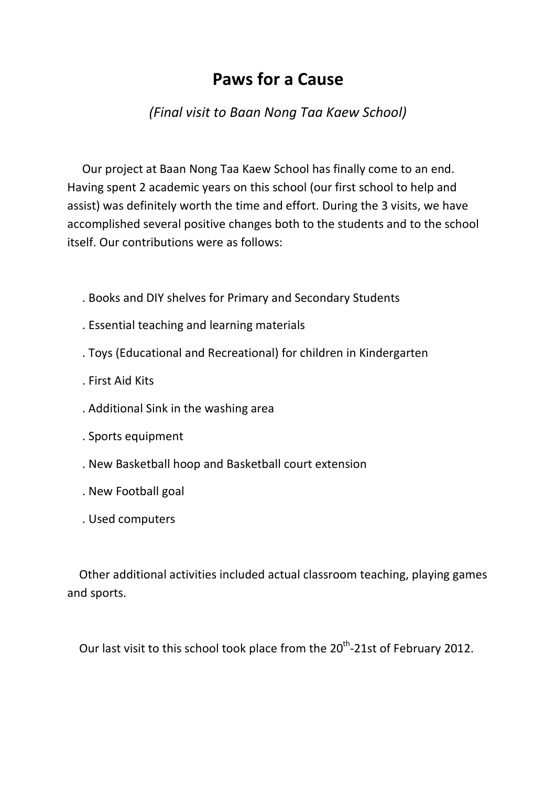## **Paws for a Cause**

## *(Final visit to Baan Nong Taa Kaew School)*

 Our project at Baan Nong Taa Kaew School has finally come to an end. Having spent 2 academic years on this school (our first school to help and assist) was definitely worth the time and effort. During the 3 visits, we have accomplished several positive changes both to the students and to the school itself. Our contributions were as follows:

- . Books and DIY shelves for Primary and Secondary Students
- . Essential teaching and learning materials
- . Toys (Educational and Recreational) for children in Kindergarten
- . First Aid Kits
- . Additional Sink in the washing area
- . Sports equipment
- . New Basketball hoop and Basketball court extension
- . New Football goal
- . Used computers

 Other additional activities included actual classroom teaching, playing games and sports.

Our last visit to this school took place from the 20<sup>th</sup>-21st of February 2012.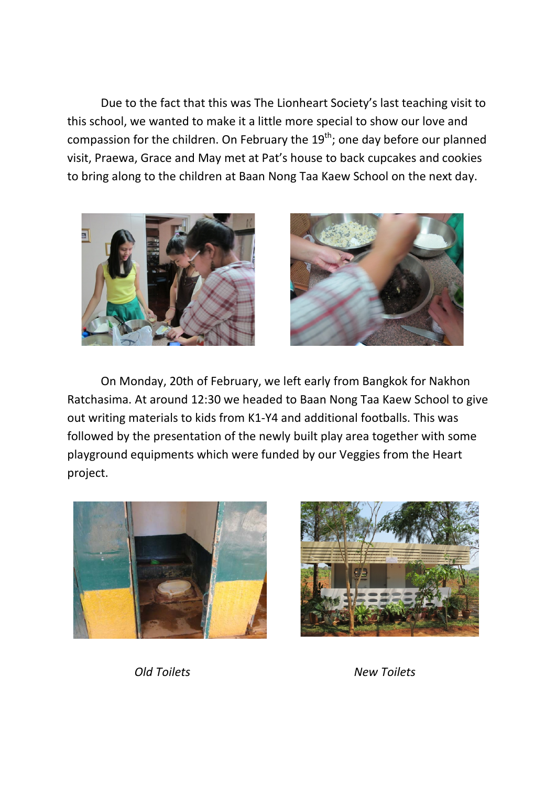Due to the fact that this was The Lionheart Society's last teaching visit to this school, we wanted to make it a little more special to show our love and compassion for the children. On February the  $19<sup>th</sup>$ ; one day before our planned visit, Praewa, Grace and May met at Pat's house to back cupcakes and cookies to bring along to the children at Baan Nong Taa Kaew School on the next day.





On Monday, 20th of February, we left early from Bangkok for Nakhon Ratchasima. At around 12:30 we headed to Baan Nong Taa Kaew School to give out writing materials to kids from K1-Y4 and additional footballs. This was followed by the presentation of the newly built play area together with some playground equipments which were funded by our Veggies from the Heart project.





*Old Toilets New Toilets*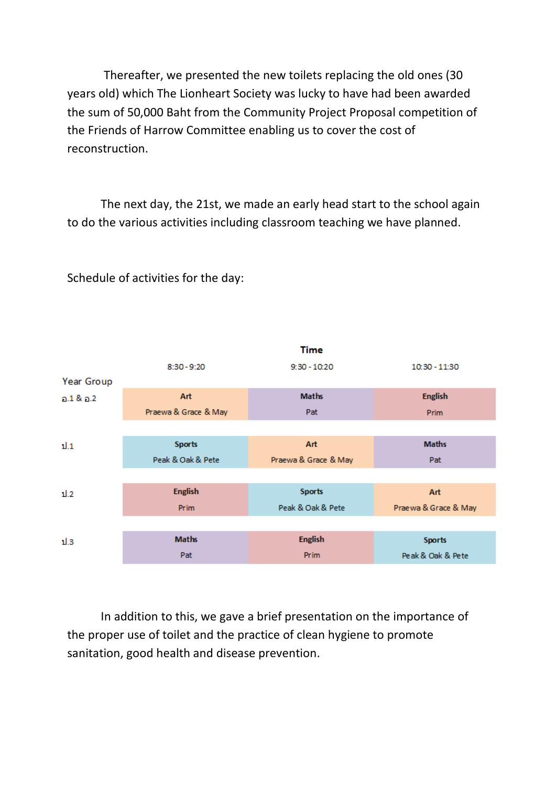Thereafter, we presented the new toilets replacing the old ones (30 years old) which The Lionheart Society was lucky to have had been awarded the sum of 50,000 Baht from the Community Project Proposal competition of the Friends of Harrow Committee enabling us to cover the cost of reconstruction.

The next day, the 21st, we made an early head start to the school again to do the various activities including classroom teaching we have planned.



Schedule of activities for the day:

In addition to this, we gave a brief presentation on the importance of the proper use of toilet and the practice of clean hygiene to promote sanitation, good health and disease prevention.